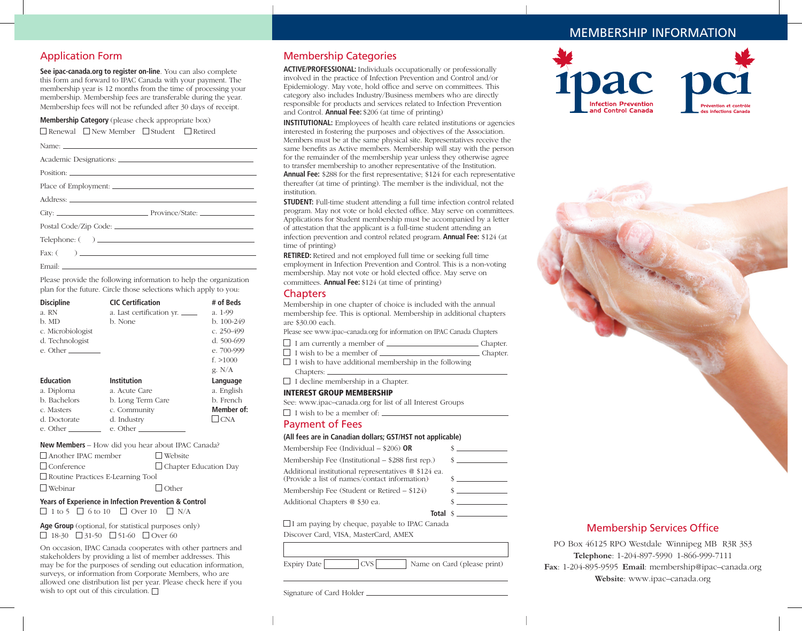# MEMBERSHIP INFORMATION

## Application Form

**See ipac-canada.org to register on-line**. You can also complete this form and forward to IPAC Canada with your payment. The membership year is 12 months from the time of processing your membership. Membership fees are transferable during the year. Membership fees will not be refunded after 30 days of receipt.

**Membership Category** (please check appropriate box)

 $\Box$  Renewal  $\Box$  New Member  $\Box$  Student  $\Box$  Retired

| Place of Employment: |
|----------------------|
|                      |
|                      |
|                      |
|                      |
|                      |
|                      |

Please provide the following information to help the organization plan for the future. Circle those selections which apply to you:

| <b>Discipline</b><br>a. RN<br>b. MD<br>c. Microbiologist<br>d. Technologist<br>e. Other | <b>CIC Certification</b><br>a. Last certification yr.<br>b. None                 | # of Beds<br>a. 1-99<br>b. 100-249<br>c. 250-499<br>d. 500-699<br>e. 700-999<br>f. > 1000<br>g. $N/A$ |
|-----------------------------------------------------------------------------------------|----------------------------------------------------------------------------------|-------------------------------------------------------------------------------------------------------|
| <b>Education</b><br>a. Diploma<br>b. Bachelors<br>c. Masters<br>d. Doctorate            | Institution<br>a. Acute Care<br>b. Long Term Care<br>c. Community<br>d. Industry | Language<br>a. English<br>b. French<br>Member of:<br>$\Box$ CNA                                       |
| e. Other                                                                                | $e.$ Other $\_\_\_\_\_\_\_\_\_\_\_\_\_\_$                                        |                                                                                                       |

#### **New Members** – How did you hear about IPAC Canada?

| $\Box$ Another IPAC member               | $\Box$ Website               |  |
|------------------------------------------|------------------------------|--|
| Conference                               | $\Box$ Chapter Education Day |  |
| $\Box$ Routine Practices E-Learning Tool |                              |  |
| $\Box$ Webinar                           | $\Box$ Other                 |  |

### **Years of Experience in Infection Prevention & Control**  $\Box$  1 to 5  $\Box$  6 to 10  $\Box$  Over 10  $\Box$  N/A

**Age Group** (optional, for statistical purposes only)  $\Box$  18-30  $\Box$  31-50  $\Box$  51-60  $\Box$  Over 60

On occasion, IPAC Canada cooperates with other partners and stakeholders by providing a list of member addresses. This may be for the purposes of sending out education information, surveys, or information from Corporate Members, who are allowed one distribution list per year. Please check here if you wish to opt out of this circulation.  $\Box$ 

## Membership Categories

**ACTIVE/PROFESSIONAL:** Individuals occupationally or professionally involved in the practice of Infection Prevention and Control and/or Epidemiology. May vote, hold office and serve on committees. This category also includes Industry/Business members who are directly responsible for products and services related to Infection Prevention and Control. **Annual Fee:** \$206 (at time of printing)

**INSTITUTIONAL:** Employees of health care related institutions or agencies interested in fostering the purposes and objectives of the Association. Members must be at the same physical site. Representatives receive the same benefits as Active members. Membership will stay with the person for the remainder of the membership year unless they otherwise agree to transfer membership to another representative of the Institution. **Annual Fee:** \$288 for the first representative; \$124 for each representative thereafter (at time of printing). The member is the individual, not the institution.

**STUDENT:** Full-time student attending a full time infection control related program. May not vote or hold elected office. May serve on committees. Applications for Student membership must be accompanied by a letter of attestation that the applicant is a full-time student attending an infection prevention and control related program. **Annual Fee:** \$124 (at time of printing)

**RETIRED:** Retired and not employed full time or seeking full time employment in Infection Prevention and Control. This is a non-voting membership. May not vote or hold elected office. May serve on committees. **Annual Fee:** \$124 (at time of printing)

### **Chapters**

Membership in one chapter of choice is included with the annual membership fee. This is optional. Membership in additional chapters are \$30.00 each.

Please see www.ipac–canada.org for information on IPAC Canada Chapters

| $\Box$ I am currently a member of | Chapter. |
|-----------------------------------|----------|
|-----------------------------------|----------|

- □ I wish to be a member of <u>CHAPTER Chapter</u>.
- $\Box$  I wish to have additional membership in the following Chapters:  $-$
- $\Box$  I decline membership in a Chapter.

#### INTEREST GROUP MEMBERSHIP

See: www.ipac–canada.org for list of all Interest Groups

□ I wish to be a member of: <u>■ I wish to be a member of:</u>

## Payment of Fees

#### **(All fees are in Canadian dollars; GST/HST not applicable)**

Membership Fee (Individual – \$206) **OR** \$ Membership Fee (Institutional  $-$  \$288 first rep.) Additional institutional representatives @ \$124 ea. (Provide a list of names/contact information) \$ Membership Fee (Student or Retired – \$124) \$ Additional Chapters @ \$30 ea.  $\qquad \qquad$  \$

 $\Box$  I am paying by cheque, payable to IPAC Canada Discover Card, VISA, MasterCard, AMEX

Expiry Date CVS Name on Card (please print)

**Total** \$

Signature of Card Holder





# Membership Services Office

PO Box 46125 RPO Westdale Winnipeg MB R3R 3S3 **Telephone**: 1-204-897-5990 1-866-999-7111 **Fax**: 1-204-895-9595 **Email**: membership@ipac–canada.org **Website**: www.ipac–canada.org